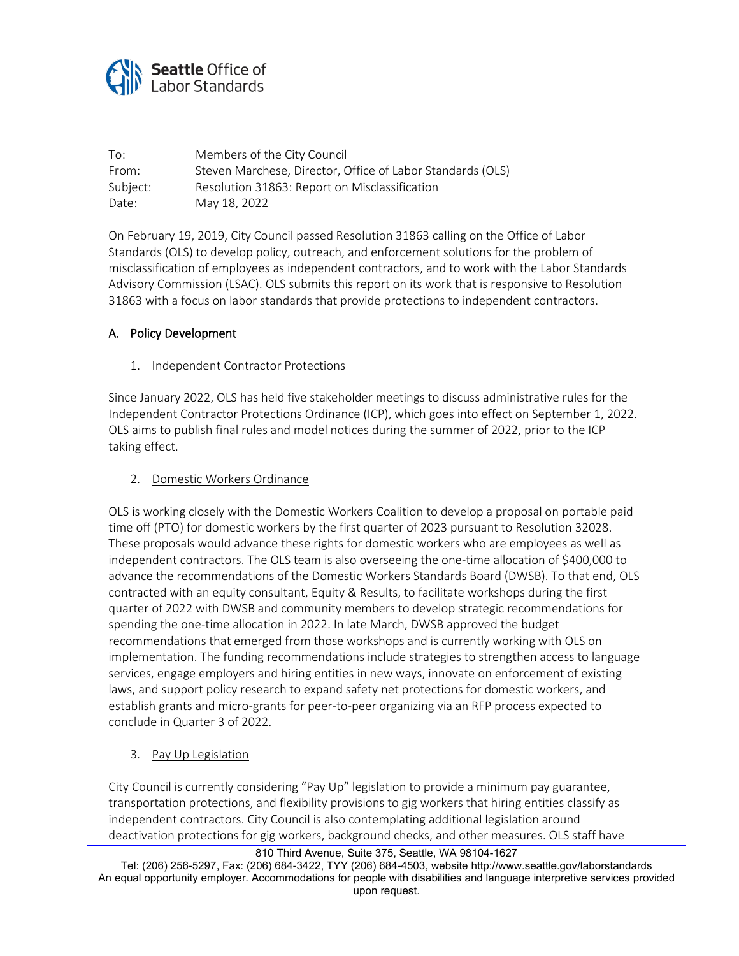

| To:      | Members of the City Council                                |
|----------|------------------------------------------------------------|
| From:    | Steven Marchese, Director, Office of Labor Standards (OLS) |
| Subject: | Resolution 31863: Report on Misclassification              |
| Date:    | May 18, 2022                                               |

On February 19, 2019, City Council passed Resolution 31863 calling on the Office of Labor Standards (OLS) to develop policy, outreach, and enforcement solutions for the problem of misclassification of employees as independent contractors, and to work with the Labor Standards Advisory Commission (LSAC). OLS submits this report on its work that is responsive to Resolution 31863 with a focus on labor standards that provide protections to independent contractors.

### A. Policy Development

#### 1. Independent Contractor Protections

Since January 2022, OLS has held five stakeholder meetings to discuss administrative rules for the Independent Contractor Protections Ordinance (ICP), which goes into effect on September 1, 2022. OLS aims to publish final rules and model notices during the summer of 2022, prior to the ICP taking effect.

#### 2. Domestic Workers Ordinance

OLS is working closely with the Domestic Workers Coalition to develop a proposal on portable paid time off (PTO) for domestic workers by the first quarter of 2023 pursuant to [Resolution 32028.](http://seattle.legistar.com/View.ashx?M=F&ID=10371387&GUID=DF80D2DF-93A5-4939-963C-0F117371F68B) These proposals would advance these rights for domestic workers who are employees as well as independent contractors. The OLS team is also overseeing the one-time allocation of \$400,000 to advance the recommendations of the Domestic Workers Standards Board (DWSB). To that end, OLS contracted with an equity consultant, Equity & Results, to facilitate workshops during the first quarter of 2022 with DWSB and community members to develop strategic recommendations for spending the one-time allocation in 2022. In late March, DWSB approved the budget recommendations that emerged from those workshops and is currently working with OLS on implementation. The funding recommendations include strategies to strengthen access to language services, engage employers and hiring entities in new ways, innovate on enforcement of existing laws, and support policy research to expand safety net protections for domestic workers, and establish grants and micro-grants for peer-to-peer organizing via an RFP process expected to conclude in Quarter 3 of 2022.

#### 3. Pay Up Legislation

City Council is currently considering "Pay Up" legislation to provide a minimum pay guarantee, transportation protections, and flexibility provisions to gig workers that hiring entities classify as independent contractors. City Council is also contemplating additional legislation around deactivation protections for gig workers, background checks, and other measures. OLS staff have

Tel: (206) 256-5297, Fax: (206) 684-3422, TYY (206) 684-4503, website http://www.seattle.gov/laborstandards An equal opportunity employer. Accommodations for people with disabilities and language interpretive services provided upon request.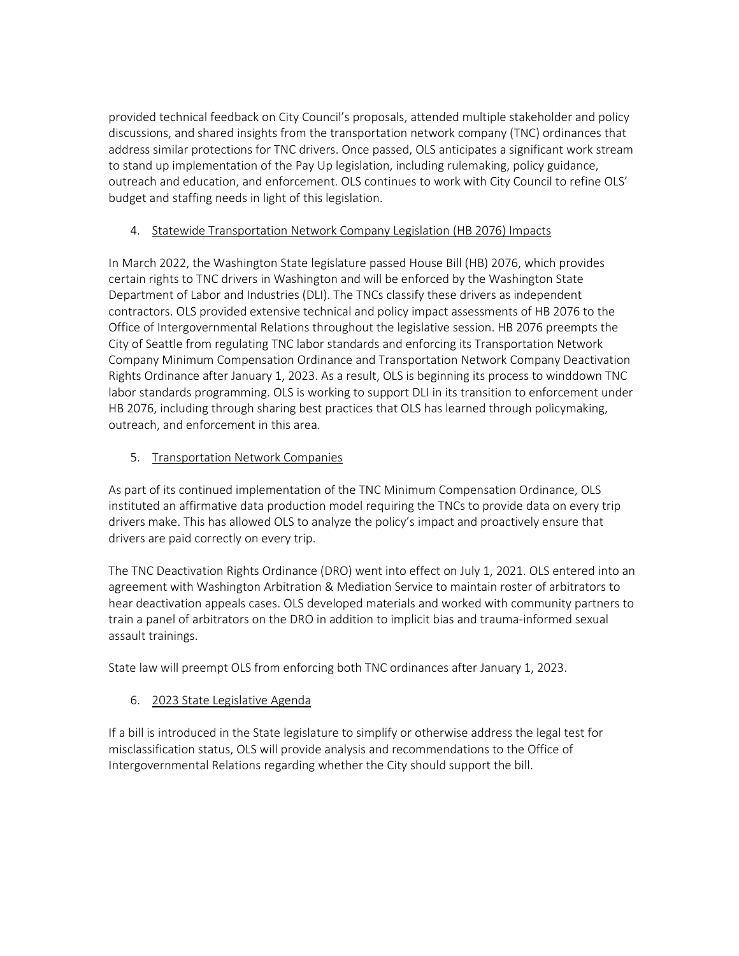provided technical feedback on City Council's proposals, attended multiple stakeholder and policy discussions, and shared insights from the transportation network company (TNC) ordinances that address similar protections for TNC drivers. Once passed, OLS anticipates a significant work stream to stand up implementation of the Pay Up legislation, including rulemaking, policy guidance, outreach and education, and enforcement. OLS continues to work with City Council to refine OLS' budget and staffing needs in light of this legislation.

## 4. Statewide Transportation Network Company Legislation (HB 2076) Impacts

In March 2022, the Washington State legislature passed House Bill (HB) 2076, which provides certain rights to TNC drivers in Washington and will be enforced by the Washington State Department of Labor and Industries (DLI). The TNCs classify these drivers as independent contractors. OLS provided extensive technical and policy impact assessments of HB 2076 to the Office of Intergovernmental Relations throughout the legislative session. HB 2076 preempts the City of Seattle from regulating TNC labor standards and enforcing its Transportation Network Company Minimum Compensation Ordinance and Transportation Network Company Deactivation Rights Ordinance after January 1, 2023. As a result, OLS is beginning its process to winddown TNC labor standards programming. OLS is working to support DLI in its transition to enforcement under HB 2076, including through sharing best practices that OLS has learned through policymaking, outreach, and enforcement in this area.

# 5. Transportation Network Companies

As part of its continued implementation of the TNC Minimum Compensation Ordinance, OLS instituted an affirmative data production model requiring the TNCs to provide data on every trip drivers make. This has allowed OLS to analyze the policy's impact and proactively ensure that drivers are paid correctly on every trip.

The TNC Deactivation Rights Ordinance (DRO) went into effect on July 1, 2021. OLS entered into an agreement with Washington Arbitration & Mediation Service to maintain roster of arbitrators to hear deactivation appeals cases. OLS developed materials and worked with community partners to train a panel of arbitrators on the DRO in addition to implicit bias and trauma-informed sexual assault trainings.

State law will preempt OLS from enforcing both TNC ordinances after January 1, 2023.

# 6. 2023 State Legislative Agenda

If a bill is introduced in the State legislature to simplify or otherwise address the legal test for misclassification status, OLS will provide analysis and recommendations to the Office of Intergovernmental Relations regarding whether the City should support the bill.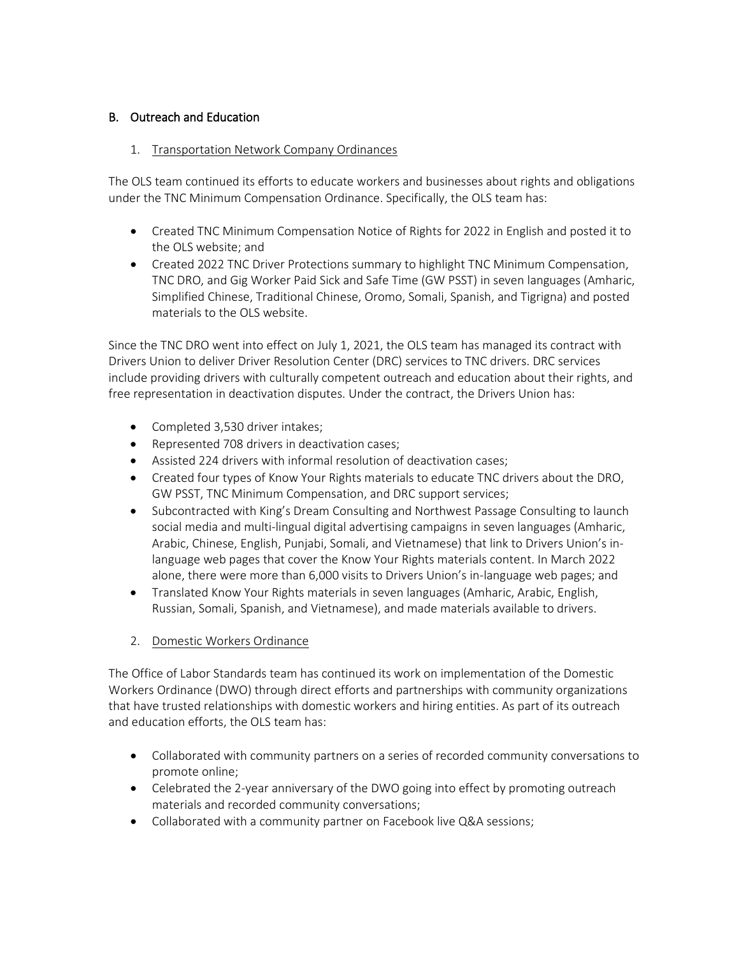# B. Outreach and Education

## 1. Transportation Network Company Ordinances

The OLS team continued its efforts to educate workers and businesses about rights and obligations under the TNC Minimum Compensation Ordinance. Specifically, the OLS team has:

- Created TNC Minimum Compensation Notice of Rights for 2022 in English and posted it to the OLS website; and
- Created 2022 TNC Driver Protections summary to highlight TNC Minimum Compensation, TNC DRO, and Gig Worker Paid Sick and Safe Time (GW PSST) in seven languages (Amharic, Simplified Chinese, Traditional Chinese, Oromo, Somali, Spanish, and Tigrigna) and posted materials to the OLS website.

Since the TNC DRO went into effect on July 1, 2021, the OLS team has managed its contract with Drivers Union to deliver Driver Resolution Center (DRC) services to TNC drivers. DRC services include providing drivers with culturally competent outreach and education about their rights, and free representation in deactivation disputes. Under the contract, the Drivers Union has:

- Completed 3,530 driver intakes;
- Represented 708 drivers in deactivation cases;
- Assisted 224 drivers with informal resolution of deactivation cases;
- Created four types of Know Your Rights materials to educate TNC drivers about the DRO, GW PSST, TNC Minimum Compensation, and DRC support services;
- Subcontracted with King's Dream Consulting and Northwest Passage Consulting to launch social media and multi-lingual digital advertising campaigns in seven languages (Amharic, Arabic, Chinese, English, Punjabi, Somali, and Vietnamese) that link to Drivers Union's inlanguage web pages that cover the Know Your Rights materials content. In March 2022 alone, there were more than 6,000 visits to Drivers Union's in-language web pages; and
- Translated Know Your Rights materials in seven languages (Amharic, Arabic, English, Russian, Somali, Spanish, and Vietnamese), and made materials available to drivers.
- 2. Domestic Workers Ordinance

The Office of Labor Standards team has continued its work on implementation of the Domestic Workers Ordinance (DWO) through direct efforts and partnerships with community organizations that have trusted relationships with domestic workers and hiring entities. As part of its outreach and education efforts, the OLS team has:

- Collaborated with community partners on a series of recorded community conversations to promote online;
- Celebrated the 2-year anniversary of the DWO going into effect by promoting outreach materials and recorded community conversations;
- Collaborated with a community partner on Facebook live Q&A sessions;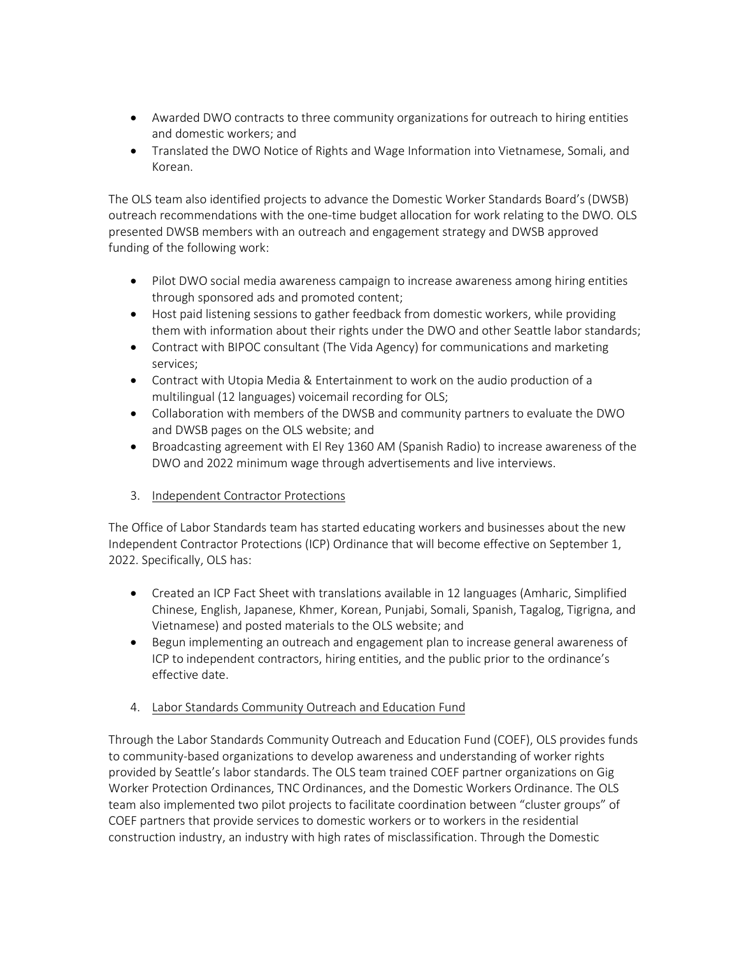- Awarded DWO contracts to three community organizations for outreach to hiring entities and domestic workers; and
- Translated the DWO Notice of Rights and Wage Information into Vietnamese, Somali, and Korean.

The OLS team also identified projects to advance the Domestic Worker Standards Board's (DWSB) outreach recommendations with the one-time budget allocation for work relating to the DWO. OLS presented DWSB members with an outreach and engagement strategy and DWSB approved funding of the following work:

- Pilot DWO social media awareness campaign to increase awareness among hiring entities through sponsored ads and promoted content;
- Host paid listening sessions to gather feedback from domestic workers, while providing them with information about their rights under the DWO and other Seattle labor standards;
- Contract with BIPOC consultant (The Vida Agency) for communications and marketing services;
- Contract with Utopia Media & Entertainment to work on the audio production of a multilingual (12 languages) voicemail recording for OLS;
- Collaboration with members of the DWSB and community partners to evaluate the DWO and DWSB pages on the OLS website; and
- Broadcasting agreement with El Rey 1360 AM (Spanish Radio) to increase awareness of the DWO and 2022 minimum wage through advertisements and live interviews.
- 3. Independent Contractor Protections

The Office of Labor Standards team has started educating workers and businesses about the new Independent Contractor Protections (ICP) Ordinance that will become effective on September 1, 2022. Specifically, OLS has:

- Created an ICP Fact Sheet with translations available in 12 languages (Amharic, Simplified Chinese, English, Japanese, Khmer, Korean, Punjabi, Somali, Spanish, Tagalog, Tigrigna, and Vietnamese) and posted materials to the OLS website; and
- Begun implementing an outreach and engagement plan to increase general awareness of ICP to independent contractors, hiring entities, and the public prior to the ordinance's effective date.
- 4. Labor Standards Community Outreach and Education Fund

Through the Labor Standards Community Outreach and Education Fund (COEF), OLS provides funds to community-based organizations to develop awareness and understanding of worker rights provided by Seattle's labor standards. The OLS team trained COEF partner organizations on Gig Worker Protection Ordinances, TNC Ordinances, and the Domestic Workers Ordinance. The OLS team also implemented two pilot projects to facilitate coordination between "cluster groups" of COEF partners that provide services to domestic workers or to workers in the residential construction industry, an industry with high rates of misclassification. Through the Domestic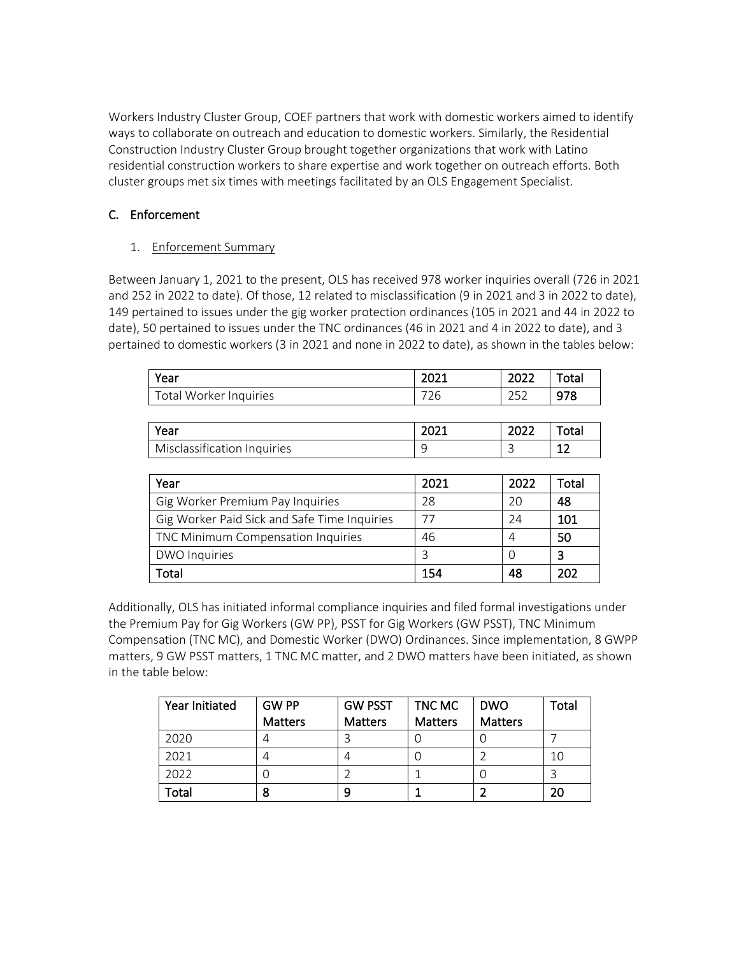Workers Industry Cluster Group, COEF partners that work with domestic workers aimed to identify ways to collaborate on outreach and education to domestic workers. Similarly, the Residential Construction Industry Cluster Group brought together organizations that work with Latino residential construction workers to share expertise and work together on outreach efforts. Both cluster groups met six times with meetings facilitated by an OLS Engagement Specialist.

# C. Enforcement

1. Enforcement Summary

Between January 1, 2021 to the present, OLS has received 978 worker inquiries overall (726 in 2021 and 252 in 2022 to date). Of those, 12 related to misclassification (9 in 2021 and 3 in 2022 to date), 149 pertained to issues under the gig worker protection ordinances (105 in 2021 and 44 in 2022 to date), 50 pertained to issues under the TNC ordinances (46 in 2021 and 4 in 2022 to date), and 3 pertained to domestic workers (3 in 2021 and none in 2022 to date), as shown in the tables below:

| Year                   | 2021      | 2022 | Total |
|------------------------|-----------|------|-------|
| Total Worker Inquiries | 700<br>26 | つちつ  | 978   |
|                        |           |      |       |

| Year                        | 2021 | 2022 | otal         |
|-----------------------------|------|------|--------------|
| Misclassification Inquiries |      | ٮ    | $\sim$<br>-- |

| Year                                         | 2021 | 2022 | Total |
|----------------------------------------------|------|------|-------|
| Gig Worker Premium Pay Inquiries             | 28   | 20   | 48    |
| Gig Worker Paid Sick and Safe Time Inquiries | 77   | 74   | 101   |
| TNC Minimum Compensation Inquiries           | 46   | 4    | 50    |
| <b>DWO Inquiries</b>                         |      |      | 3     |
| <sup>-</sup> otal                            | 154  | 48   | 202   |

Additionally, OLS has initiated informal compliance inquiries and filed formal investigations under the Premium Pay for Gig Workers (GW PP), PSST for Gig Workers (GW PSST), TNC Minimum Compensation (TNC MC), and Domestic Worker (DWO) Ordinances. Since implementation, 8 GWPP matters, 9 GW PSST matters, 1 TNC MC matter, and 2 DWO matters have been initiated, as shown in the table below:

| Year Initiated | <b>GW PP</b>   | <b>GW PSST</b> | TNC MC         | <b>DWO</b>     | Total |
|----------------|----------------|----------------|----------------|----------------|-------|
|                | <b>Matters</b> | <b>Matters</b> | <b>Matters</b> | <b>Matters</b> |       |
| 2020           |                |                |                |                |       |
| 2021           |                | 4              |                |                | 10    |
| 2022           |                |                |                |                |       |
| <b>Total</b>   |                | 9              |                |                | 20    |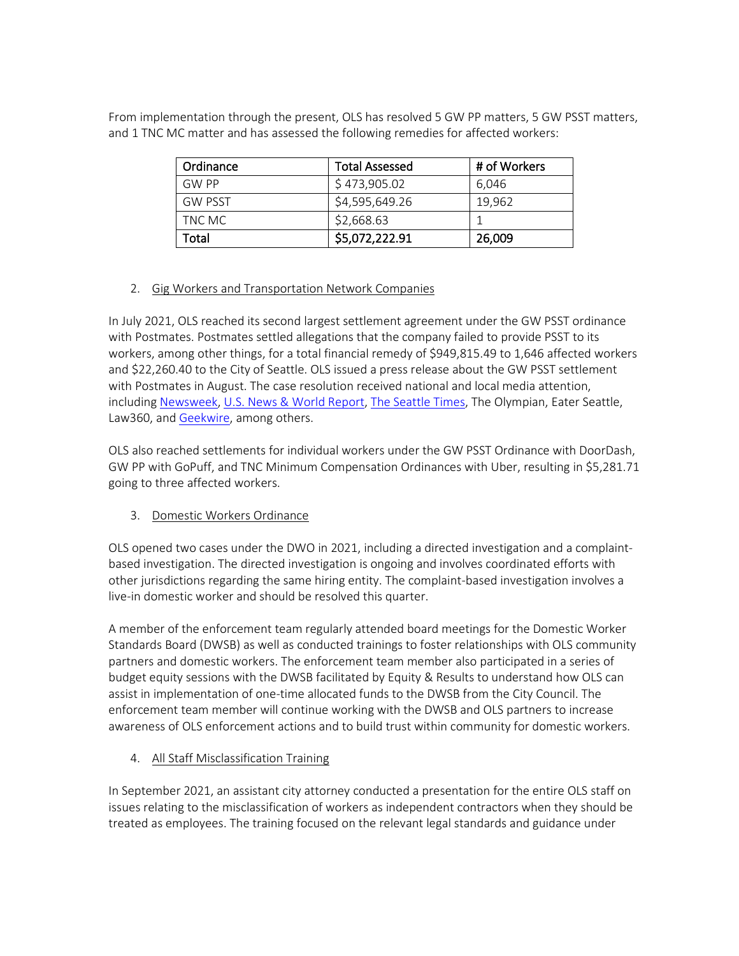From implementation through the present, OLS has resolved 5 GW PP matters, 5 GW PSST matters, and 1 TNC MC matter and has assessed the following remedies for affected workers:

| Ordinance      | <b>Total Assessed</b> | # of Workers |
|----------------|-----------------------|--------------|
| <b>GW PP</b>   | \$473,905.02          | 6.046        |
| <b>GW PSST</b> | \$4,595,649.26        | 19.962       |
| TNC MC         | \$2,668.63            |              |
| Total          | \$5,072,222.91        | 26,009       |

### 2. Gig Workers and Transportation Network Companies

In July 2021, OLS reached its second largest settlement agreement under the GW PSST ordinance with Postmates. Postmates settled allegations that the company failed to provide PSST to its workers, among other things, for a total financial remedy of \$949,815.49 to 1,646 affected workers and \$22,260.40 to the City of Seattle. OLS issued a press release about the GW PSST settlement with Postmates in August. The case resolution received national and local media attention, includin[g Newsweek,](https://www.newsweek.com/uber-pay-13m-back-wages-over-2300-seattle-area-workers-1603948) [U.S. News & World](https://www.usnews.com/news/business/articles/2021-06-24/uber-pays-34m-for-seattle-gig-worker-leave-law-violations) Report, [The Seattle Times,](https://www.seattletimes.com/seattle-news/transportation/uber-to-pay-3-4-million-to-seattle-drivers-for-unused-paid-sick-days/) The Olympian, Eater Seattle, Law360, an[d Geekwire,](https://www.geekwire.com/2021/uber-pay-3-4m-settlement-seattle-drivers-unpaid-sick-leave-back-wages/) among others.

OLS also reached settlements for individual workers under the GW PSST Ordinance with DoorDash, GW PP with GoPuff, and TNC Minimum Compensation Ordinances with Uber, resulting in \$5,281.71 going to three affected workers.

### 3. Domestic Workers Ordinance

OLS opened two cases under the DWO in 2021, including a directed investigation and a complaintbased investigation. The directed investigation is ongoing and involves coordinated efforts with other jurisdictions regarding the same hiring entity. The complaint-based investigation involves a live-in domestic worker and should be resolved this quarter.

A member of the enforcement team regularly attended board meetings for the Domestic Worker Standards Board (DWSB) as well as conducted trainings to foster relationships with OLS community partners and domestic workers. The enforcement team member also participated in a series of budget equity sessions with the DWSB facilitated by Equity & Results to understand how OLS can assist in implementation of one-time allocated funds to the DWSB from the City Council. The enforcement team member will continue working with the DWSB and OLS partners to increase awareness of OLS enforcement actions and to build trust within community for domestic workers.

### 4. All Staff Misclassification Training

In September 2021, an assistant city attorney conducted a presentation for the entire OLS staff on issues relating to the misclassification of workers as independent contractors when they should be treated as employees. The training focused on the relevant legal standards and guidance under